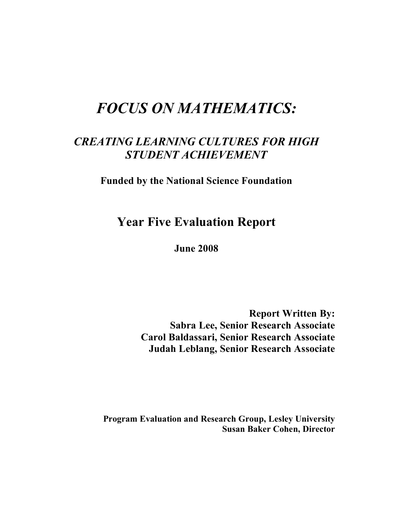# *FOCUS ON MATHEMATICS:*

## *CREATING LEARNING CULTURES FOR HIGH STUDENT ACHIEVEMENT*

**Funded by the National Science Foundation**

**Year Five Evaluation Report**

**June 2008**

**Report Written By: Sabra Lee, Senior Research Associate Carol Baldassari, Senior Research Associate Judah Leblang, Senior Research Associate**

**Program Evaluation and Research Group, Lesley University Susan Baker Cohen, Director**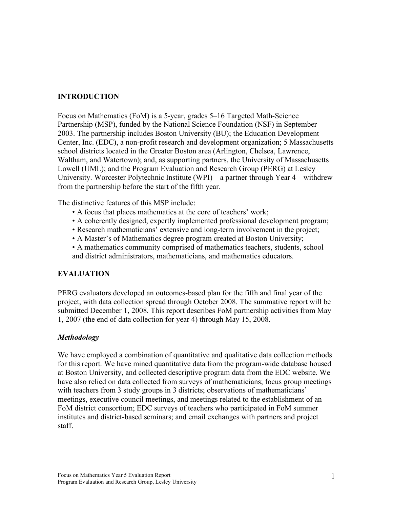## **INTRODUCTION**

Focus on Mathematics (FoM) is a 5-year, grades 5–16 Targeted Math-Science Partnership (MSP), funded by the National Science Foundation (NSF) in September 2003. The partnership includes Boston University (BU); the Education Development Center, Inc. (EDC), a non-profit research and development organization; 5 Massachusetts school districts located in the Greater Boston area (Arlington, Chelsea, Lawrence, Waltham, and Watertown); and, as supporting partners, the University of Massachusetts Lowell (UML); and the Program Evaluation and Research Group (PERG) at Lesley University. Worcester Polytechnic Institute (WPI)—a partner through Year 4—withdrew from the partnership before the start of the fifth year.

The distinctive features of this MSP include:

- A focus that places mathematics at the core of teachers' work;
- A coherently designed, expertly implemented professional development program;
- Research mathematicians' extensive and long-term involvement in the project;
- A Master's of Mathematics degree program created at Boston University;
- A mathematics community comprised of mathematics teachers, students, school and district administrators, mathematicians, and mathematics educators.

## **EVALUATION**

PERG evaluators developed an outcomes-based plan for the fifth and final year of the project, with data collection spread through October 2008. The summative report will be submitted December 1, 2008. This report describes FoM partnership activities from May 1, 2007 (the end of data collection for year 4) through May 15, 2008.

## *Methodology*

We have employed a combination of quantitative and qualitative data collection methods for this report. We have mined quantitative data from the program-wide database housed at Boston University, and collected descriptive program data from the EDC website. We have also relied on data collected from surveys of mathematicians; focus group meetings with teachers from 3 study groups in 3 districts; observations of mathematicians' meetings, executive council meetings, and meetings related to the establishment of an FoM district consortium; EDC surveys of teachers who participated in FoM summer institutes and district-based seminars; and email exchanges with partners and project staff.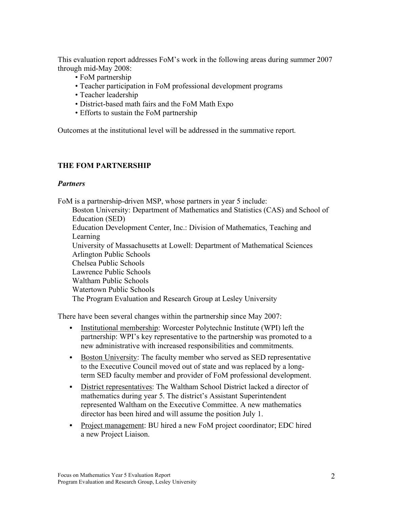This evaluation report addresses FoM's work in the following areas during summer 2007 through mid-May 2008:

- FoM partnership
- Teacher participation in FoM professional development programs
- Teacher leadership
- District-based math fairs and the FoM Math Expo
- Efforts to sustain the FoM partnership

Outcomes at the institutional level will be addressed in the summative report.

## **THE FOM PARTNERSHIP**

## *Partners*

FoM is a partnership-driven MSP, whose partners in year 5 include: Boston University: Department of Mathematics and Statistics (CAS) and School of Education (SED) Education Development Center, Inc.: Division of Mathematics, Teaching and Learning University of Massachusetts at Lowell: Department of Mathematical Sciences Arlington Public Schools Chelsea Public Schools Lawrence Public Schools Waltham Public Schools Watertown Public Schools The Program Evaluation and Research Group at Lesley University

There have been several changes within the partnership since May 2007:

- Institutional membership: Worcester Polytechnic Institute (WPI) left the partnership: WPI's key representative to the partnership was promoted to a new administrative with increased responsibilities and commitments.
- Boston University: The faculty member who served as SED representative to the Executive Council moved out of state and was replaced by a longterm SED faculty member and provider of FoM professional development.
- District representatives: The Waltham School District lacked a director of mathematics during year 5. The district's Assistant Superintendent represented Waltham on the Executive Committee. A new mathematics director has been hired and will assume the position July 1.
- Project management: BU hired a new FoM project coordinator; EDC hired a new Project Liaison.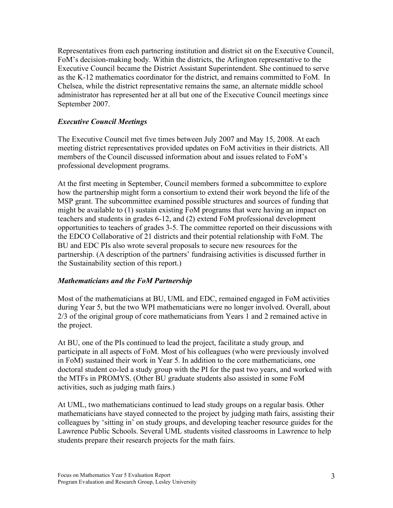Representatives from each partnering institution and district sit on the Executive Council, FoM's decision-making body. Within the districts, the Arlington representative to the Executive Council became the District Assistant Superintendent. She continued to serve as the K-12 mathematics coordinator for the district, and remains committed to FoM. In Chelsea, while the district representative remains the same, an alternate middle school administrator has represented her at all but one of the Executive Council meetings since September 2007.

## *Executive Council Meetings*

The Executive Council met five times between July 2007 and May 15, 2008. At each meeting district representatives provided updates on FoM activities in their districts. All members of the Council discussed information about and issues related to FoM's professional development programs.

At the first meeting in September, Council members formed a subcommittee to explore how the partnership might form a consortium to extend their work beyond the life of the MSP grant. The subcommittee examined possible structures and sources of funding that might be available to (1) sustain existing FoM programs that were having an impact on teachers and students in grades 6-12, and (2) extend FoM professional development opportunities to teachers of grades 3-5. The committee reported on their discussions with the EDCO Collaborative of 21 districts and their potential relationship with FoM. The BU and EDC PIs also wrote several proposals to secure new resources for the partnership. (A description of the partners' fundraising activities is discussed further in the Sustainability section of this report.)

#### *Mathematicians and the FoM Partnership*

Most of the mathematicians at BU, UML and EDC, remained engaged in FoM activities during Year 5, but the two WPI mathematicians were no longer involved. Overall, about 2/3 of the original group of core mathematicians from Years 1 and 2 remained active in the project.

At BU, one of the PIs continued to lead the project, facilitate a study group, and participate in all aspects of FoM. Most of his colleagues (who were previously involved in FoM) sustained their work in Year 5. In addition to the core mathematicians, one doctoral student co-led a study group with the PI for the past two years, and worked with the MTFs in PROMYS. (Other BU graduate students also assisted in some FoM activities, such as judging math fairs.)

At UML, two mathematicians continued to lead study groups on a regular basis. Other mathematicians have stayed connected to the project by judging math fairs, assisting their colleagues by 'sitting in' on study groups, and developing teacher resource guides for the Lawrence Public Schools. Several UML students visited classrooms in Lawrence to help students prepare their research projects for the math fairs.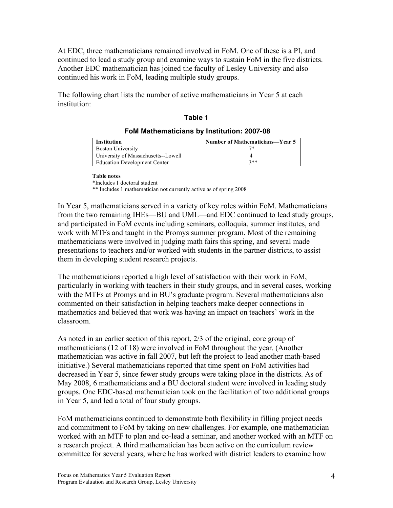At EDC, three mathematicians remained involved in FoM. One of these is a PI, and continued to lead a study group and examine ways to sustain FoM in the five districts. Another EDC mathematician has joined the faculty of Lesley University and also continued his work in FoM, leading multiple study groups.

The following chart lists the number of active mathematicians in Year 5 at each institution:

## **Table 1**

#### **FoM Mathematicians by Institution: 2007-08**

| Institution                         | Number of Mathematicians-Year 5 |
|-------------------------------------|---------------------------------|
| <b>Boston University</b>            |                                 |
| University of Massachusetts--Lowell |                                 |
| <b>Education Development Center</b> | $2**$                           |

#### **Table notes**

\*Includes 1 doctoral student

\*\* Includes 1 mathematician not currently active as of spring 2008

In Year 5, mathematicians served in a variety of key roles within FoM. Mathematicians from the two remaining IHEs—BU and UML—and EDC continued to lead study groups, and participated in FoM events including seminars, colloquia, summer institutes, and work with MTFs and taught in the Promys summer program. Most of the remaining mathematicians were involved in judging math fairs this spring, and several made presentations to teachers and/or worked with students in the partner districts, to assist them in developing student research projects.

The mathematicians reported a high level of satisfaction with their work in FoM, particularly in working with teachers in their study groups, and in several cases, working with the MTFs at Promys and in BU's graduate program. Several mathematicians also commented on their satisfaction in helping teachers make deeper connections in mathematics and believed that work was having an impact on teachers' work in the classroom.

As noted in an earlier section of this report, 2/3 of the original, core group of mathematicians (12 of 18) were involved in FoM throughout the year. (Another mathematician was active in fall 2007, but left the project to lead another math-based initiative.) Several mathematicians reported that time spent on FoM activities had decreased in Year 5, since fewer study groups were taking place in the districts. As of May 2008, 6 mathematicians and a BU doctoral student were involved in leading study groups. One EDC-based mathematician took on the facilitation of two additional groups in Year 5, and led a total of four study groups.

FoM mathematicians continued to demonstrate both flexibility in filling project needs and commitment to FoM by taking on new challenges. For example, one mathematician worked with an MTF to plan and co-lead a seminar, and another worked with an MTF on a research project. A third mathematician has been active on the curriculum review committee for several years, where he has worked with district leaders to examine how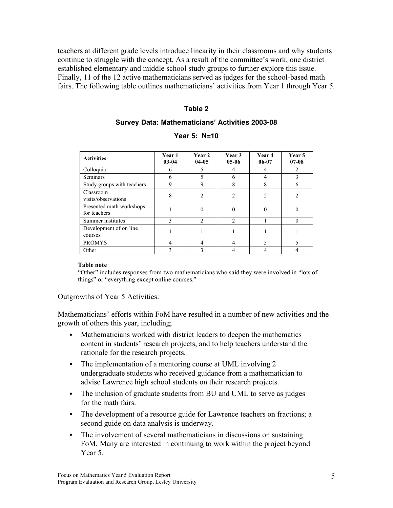teachers at different grade levels introduce linearity in their classrooms and why students continue to struggle with the concept. As a result of the committee's work, one district established elementary and middle school study groups to further explore this issue. Finally, 11 of the 12 active mathematicians served as judges for the school-based math fairs. The following table outlines mathematicians' activities from Year 1 through Year 5.

#### **Table 2**

#### **Survey Data: Mathematicians! Activities 2003-08**

| <b>Activities</b>                        | <b>Year 1</b><br>$03 - 04$ | Year 2<br>$04 - 05$ | Year 3<br>$05-06$ | Year 4<br>$06 - 07$ | Year 5<br>$07 - 08$ |
|------------------------------------------|----------------------------|---------------------|-------------------|---------------------|---------------------|
| Colloquia                                | 6                          |                     |                   |                     | 2                   |
| <b>Seminars</b>                          | 6                          |                     | 6                 |                     | 3                   |
| Study groups with teachers               | 9                          | 9                   | 8                 | 8                   | 6                   |
| Classroom<br>visits/observations         | 8                          | 2                   | 2                 | 2                   |                     |
| Presented math workshops<br>for teachers |                            | 0                   |                   | 0                   |                     |
| Summer institutes                        | $\mathcal{E}$              | $\mathfrak{D}$      | C                 |                     | 0                   |
| Development of on line<br>courses        |                            |                     |                   |                     |                     |
| <b>PROMYS</b>                            | 4                          |                     |                   | 5                   |                     |
| Other                                    |                            |                     |                   |                     |                     |

#### **Year 5: N=10**

#### **Table note**

"Other" includes responses from two mathematicians who said they were involved in "lots of things" or "everything except online courses."

#### Outgrowths of Year 5 Activities:

Mathematicians' efforts within FoM have resulted in a number of new activities and the growth of others this year, including;

- Mathematicians worked with district leaders to deepen the mathematics content in students' research projects, and to help teachers understand the rationale for the research projects.
- The implementation of a mentoring course at UML involving 2 undergraduate students who received guidance from a mathematician to advise Lawrence high school students on their research projects.
- The inclusion of graduate students from BU and UML to serve as judges for the math fairs.
- The development of a resource guide for Lawrence teachers on fractions; a second guide on data analysis is underway.
- The involvement of several mathematicians in discussions on sustaining FoM. Many are interested in continuing to work within the project beyond Year 5.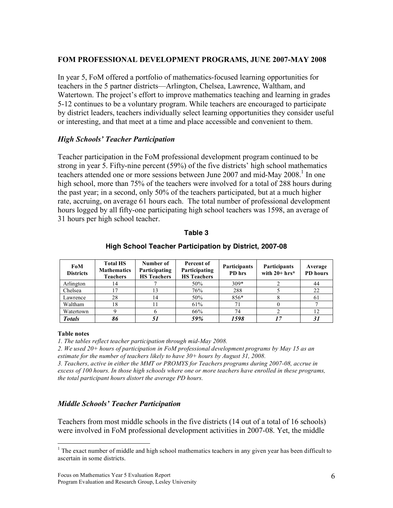## **FOM PROFESSIONAL DEVELOPMENT PROGRAMS, JUNE 2007-MAY 2008**

In year 5, FoM offered a portfolio of mathematics-focused learning opportunities for teachers in the 5 partner districts—Arlington, Chelsea, Lawrence, Waltham, and Watertown. The project's effort to improve mathematics teaching and learning in grades 5-12 continues to be a voluntary program. While teachers are encouraged to participate by district leaders, teachers individually select learning opportunities they consider useful or interesting, and that meet at a time and place accessible and convenient to them.

## *High Schools' Teacher Participation*

Teacher participation in the FoM professional development program continued to be strong in year 5. Fifty-nine percent (59%) of the five districts' high school mathematics teachers attended one or more sessions between June 2007 and mid-May  $2008<sup>1</sup>$  In one high school, more than 75% of the teachers were involved for a total of 288 hours during the past year; in a second, only 50% of the teachers participated, but at a much higher rate, accruing, on average 61 hours each. The total number of professional development hours logged by all fifty-one participating high school teachers was 1598, an average of 31 hours per high school teacher.

#### **Table 3**

| FoM<br><b>Districts</b> | <b>Total HS</b><br><b>Mathematics</b><br><b>Teachers</b> | Number of<br>Participating<br><b>HS</b> Teachers | Percent of<br>Participating<br><b>HS</b> Teachers | <b>Participants</b><br>PD hrs | <b>Participants</b><br>with $20+hrs*$ | Average<br><b>PD</b> hours |
|-------------------------|----------------------------------------------------------|--------------------------------------------------|---------------------------------------------------|-------------------------------|---------------------------------------|----------------------------|
| Arlington               | 14                                                       |                                                  | 50%                                               | $309*$                        |                                       | 44                         |
| Chelsea                 |                                                          | 13                                               | 76%                                               | 288                           |                                       | 22                         |
| Lawrence                | 28                                                       | 14                                               | 50%                                               | 856*                          |                                       | 61                         |
| Waltham                 | 18                                                       |                                                  | 61%                                               |                               |                                       |                            |
| Watertown               |                                                          |                                                  | 66%                                               | 74                            |                                       | 12                         |
| <b>Totals</b>           |                                                          | 51                                               | 59%                                               | 1598                          |                                       | 31                         |

#### **High School Teacher Participation by District, 2007-08**

#### **Table notes**

*1. The tables reflect teacher participation through mid-May 2008.*

*2. We used 20+ hours of participation in FoM professional development programs by May 15 as an estimate for the number of teachers likely to have 30+ hours by August 31, 2008.*

*3. Teachers, active in either the MMT or PROMYS for Teachers programs during 2007-08, accrue in* excess of 100 hours. In those high schools where one or more teachers have enrolled in these programs, *the total participant hours distort the average PD hours.*

## *Middle Schools' Teacher Participation*

Teachers from most middle schools in the five districts (14 out of a total of 16 schools) were involved in FoM professional development activities in 2007-08. Yet, the middle

<sup>&</sup>lt;sup>1</sup> The exact number of middle and high school mathematics teachers in any given year has been difficult to ascertain in some districts.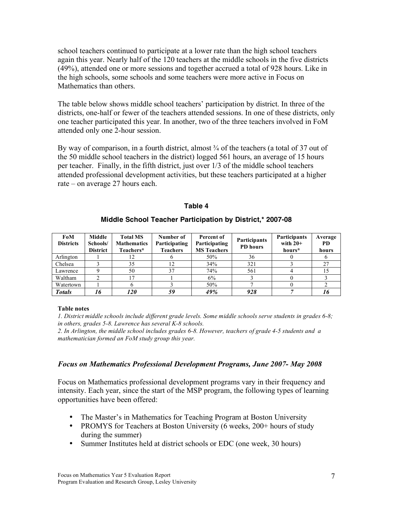school teachers continued to participate at a lower rate than the high school teachers again this year. Nearly half of the 120 teachers at the middle schools in the five districts (49%), attended one or more sessions and together accrued a total of 928 hours. Like in the high schools, some schools and some teachers were more active in Focus on Mathematics than others.

The table below shows middle school teachers' participation by district. In three of the districts, one-half or fewer of the teachers attended sessions. In one of these districts, only one teacher participated this year. In another, two of the three teachers involved in FoM attended only one 2-hour session.

By way of comparison, in a fourth district, almost  $\frac{3}{4}$  of the teachers (a total of 37 out of the 50 middle school teachers in the district) logged 561 hours, an average of 15 hours per teacher. Finally, in the fifth district, just over 1/3 of the middle school teachers attended professional development activities, but these teachers participated at a higher rate – on average 27 hours each.

#### **Table 4**

| FoM<br><b>Districts</b> | Middle<br>Schools/<br><b>District</b> | <b>Total MS</b><br><b>Mathematics</b><br>Teachers* | Number of<br>Participating<br><b>Teachers</b> | Percent of<br>Participating<br><b>MS</b> Teachers | <b>Participants</b><br>PD hours | <b>Participants</b><br>with $20+$<br>hours* | Average<br><b>PD</b><br>hours |
|-------------------------|---------------------------------------|----------------------------------------------------|-----------------------------------------------|---------------------------------------------------|---------------------------------|---------------------------------------------|-------------------------------|
| Arlington               |                                       | 12                                                 |                                               | 50%                                               | 36                              |                                             |                               |
| Chelsea                 |                                       | 35                                                 |                                               | 34%                                               | 321                             |                                             | 27                            |
| Lawrence                |                                       | 50                                                 | 37                                            | 74%                                               | 561                             |                                             |                               |
| Waltham                 |                                       |                                                    |                                               | 6%                                                |                                 |                                             |                               |
| Watertown               |                                       |                                                    |                                               | 50%                                               |                                 |                                             |                               |
| <b>Totals</b>           | '6                                    | <i>120</i>                                         | 59                                            | 49%                                               | 928                             |                                             |                               |

#### **Middle School Teacher Participation by District,\* 2007-08**

#### **Table notes**

*1. District middle schools include different grade levels. Some middle schools serve students in grades 6-8; in others, grades 5-8. Lawrence has several K-8 schools.*

*2. In Arlington, the middle school includes grades 6-8. However, teachers of grade 4-5 students and a mathematician formed an FoM study group this year.*

#### *Focus on Mathematics Professional Development Programs, June 2007- May 2008*

Focus on Mathematics professional development programs vary in their frequency and intensity. Each year, since the start of the MSP program, the following types of learning opportunities have been offered:

- The Master's in Mathematics for Teaching Program at Boston University
- PROMYS for Teachers at Boston University (6 weeks, 200+ hours of study during the summer)
- Summer Institutes held at district schools or EDC (one week, 30 hours)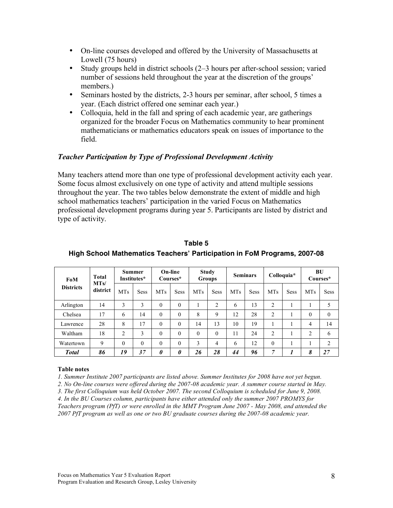- On-line courses developed and offered by the University of Massachusetts at Lowell (75 hours)
- Study groups held in district schools (2–3 hours per after-school session; varied number of sessions held throughout the year at the discretion of the groups' members.)
- Seminars hosted by the districts, 2-3 hours per seminar, after school, 5 times a year. (Each district offered one seminar each year.)
- Colloquia, held in the fall and spring of each academic year, are gatherings organized for the broader Focus on Mathematics community to hear prominent mathematicians or mathematics educators speak on issues of importance to the field.

## *Teacher Participation by Type of Professional Development Activity*

Many teachers attend more than one type of professional development activity each year. Some focus almost exclusively on one type of activity and attend multiple sessions throughout the year. The two tables below demonstrate the extent of middle and high school mathematics teachers' participation in the varied Focus on Mathematics professional development programs during year 5. Participants are listed by district and type of activity.

| FoM              | Total<br>MTs/ |                | <b>Summer</b><br>Institutes* |            | On-line<br>Courses* |            | <b>Study</b><br><b>Groups</b> |            | <b>Seminars</b> |                | Colloquia*  | BU<br>Courses* |                  |
|------------------|---------------|----------------|------------------------------|------------|---------------------|------------|-------------------------------|------------|-----------------|----------------|-------------|----------------|------------------|
| <b>Districts</b> | district      | <b>MTs</b>     | <b>Sess</b>                  | <b>MTs</b> | <b>Sess</b>         | <b>MTs</b> | <b>Sess</b>                   | <b>MTs</b> | <b>Sess</b>     | <b>MTs</b>     | <b>Sess</b> | <b>MTs</b>     | <b>Sess</b>      |
| Arlington        | 14            | 3              | 3                            | $\theta$   | $\Omega$            |            | $\overline{2}$                | 6          | 13              | $\overline{2}$ |             |                | 5                |
| Chelsea          | 17            | 6              | 14                           | $\theta$   | $\Omega$            | 8          | 9                             | 12         | 28              | $\overline{c}$ |             | $\theta$       | $\boldsymbol{0}$ |
| Lawrence         | 28            | 8              | 17                           | $\theta$   | $\Omega$            | 14         | 13                            | 10         | 19              |                |             | 4              | 14               |
| Waltham          | 18            | $\overline{2}$ | 3                            | $\theta$   | $\Omega$            | $\Omega$   | $\theta$                      | 11         | 24              | $\overline{c}$ |             | $\overline{c}$ | 6                |
| Watertown        | 9             | $\theta$       | $\theta$                     | $\theta$   | $\Omega$            | 3          | 4                             | 6          | 12              | $\theta$       |             |                | $\overline{c}$   |
| <b>Total</b>     | 86            | 19             | 37                           | 0          | 0                   | 26         | 28                            | 44         | 96              | 7              |             | 8              | 27               |

**Table 5 High School Mathematics Teachers! Participation in FoM Programs, 2007-08**

#### **Table notes**

*1. Summer Institute 2007 participants are listed above. Summer Institutes for 2008 have not yet begun.*

*2. No On-line courses were offered during the 2007-08 academic year. A summer course started in May.*

*3. The first Colloquium was held October 2007. The second Colloquium is scheduled for June 9, 2008. 4. In the BU Courses column, participants have either attended only the summer 2007 PROMYS for Teachers program (PfT) or were enrolled in the MMT Program June 2007 - May 2008, and attended the 2007 PfT program as well as one or two BU graduate courses during the 2007-08 academic year.*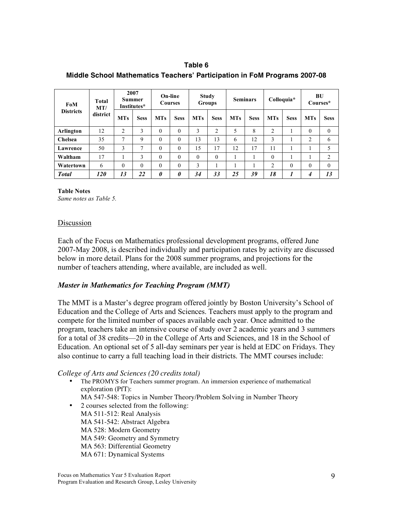**Table 6 Middle School Mathematics Teachers! Participation in FoM Programs 2007-08**

| FoM              | 2007<br>Summer<br><b>Total</b><br>Institutes*<br>MT/ |                |             | On-line<br><b>Courses</b> |             | Study<br>Groups |                | <b>Seminars</b> |             | Colloquia*     |             | BU<br>Courses* |                |
|------------------|------------------------------------------------------|----------------|-------------|---------------------------|-------------|-----------------|----------------|-----------------|-------------|----------------|-------------|----------------|----------------|
| <b>Districts</b> | district                                             | <b>MTs</b>     | <b>Sess</b> | <b>MTs</b>                | <b>Sess</b> | <b>MTs</b>      | <b>Sess</b>    | <b>MTs</b>      | <b>Sess</b> | <b>MTs</b>     | <b>Sess</b> | <b>MTs</b>     | <b>Sess</b>    |
| Arlington        | 12                                                   | $\overline{c}$ | 3           | $\theta$                  | $\theta$    | 3               | $\overline{c}$ | 5               | 8           | $\overline{c}$ |             | $\theta$       | $\theta$       |
| Chelsea          | 35                                                   | 7              | 9           | $\theta$                  | $\Omega$    | 13              | 13             | 6               | 12          | 3              |             | 2              | 6              |
| Lawrence         | 50                                                   | 3              | 7           | $\theta$                  | $\theta$    | 15              | 17             | 12              | 17          | 11             |             |                | 5              |
| Waltham          | 17                                                   |                | 3           | $\theta$                  | $\Omega$    | $\theta$        | $\Omega$       |                 |             | $\theta$       |             |                | $\overline{c}$ |
| Watertown        | 6                                                    | $\theta$       | $\theta$    | $\theta$                  | $\Omega$    | 3               |                |                 |             | $\overline{c}$ | $\theta$    | $\theta$       | $\theta$       |
| <b>Total</b>     | <i>120</i>                                           | 13             | 22          | 0                         | $\theta$    | 34              | 33             | 25              | 39          | 18             |             | 4              | 13             |

**Table Notes** *Same notes as Table 5.*

#### Discussion

Each of the Focus on Mathematics professional development programs, offered June 2007-May 2008, is described individually and participation rates by activity are discussed below in more detail. Plans for the 2008 summer programs, and projections for the number of teachers attending, where available, are included as well.

#### *Master in Mathematics for Teaching Program (MMT)*

The MMT is a Master's degree program offered jointly by Boston University's School of Education and the College of Arts and Sciences. Teachers must apply to the program and compete for the limited number of spaces available each year. Once admitted to the program, teachers take an intensive course of study over 2 academic years and 3 summers for a total of 38 credits—20 in the College of Arts and Sciences, and 18 in the School of Education. An optional set of 5 all-day seminars per year is held at EDC on Fridays. They also continue to carry a full teaching load in their districts. The MMT courses include:

*College of Arts and Sciences (20 credits total)*

• The PROMYS for Teachers summer program. An immersion experience of mathematical exploration (PfT):

MA 547-548: Topics in Number Theory/Problem Solving in Number Theory

• 2 courses selected from the following: MA 511-512: Real Analysis MA 541-542: Abstract Algebra MA 528: Modern Geometry MA 549: Geometry and Symmetry MA 563: Differential Geometry MA 671: Dynamical Systems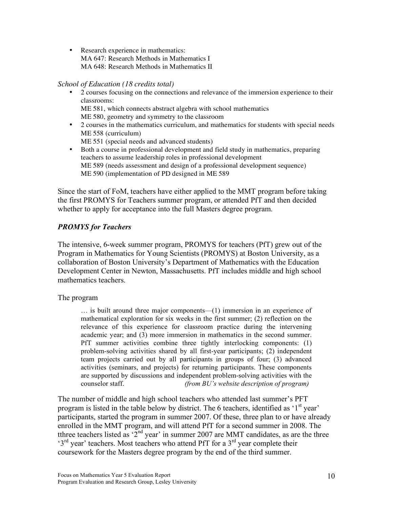• Research experience in mathematics: MA 647: Research Methods in Mathematics I MA 648: Research Methods in Mathematics II

#### *School of Education (18 credits total)*

- 2 courses focusing on the connections and relevance of the immersion experience to their classrooms: ME 581, which connects abstract algebra with school mathematics ME 580, geometry and symmetry to the classroom
- 2 courses in the mathematics curriculum, and mathematics for students with special needs ME 558 (curriculum)
	- ME 551 (special needs and advanced students)
- Both a course in professional development and field study in mathematics, preparing teachers to assume leadership roles in professional development ME 589 (needs assessment and design of a professional development sequence) ME 590 (implementation of PD designed in ME 589

Since the start of FoM, teachers have either applied to the MMT program before taking the first PROMYS for Teachers summer program, or attended PfT and then decided whether to apply for acceptance into the full Masters degree program.

## *PROMYS for Teachers*

The intensive, 6-week summer program, PROMYS for teachers (PfT) grew out of the Program in Mathematics for Young Scientists (PROMYS) at Boston University, as a collaboration of Boston University's Department of Mathematics with the Education Development Center in Newton, Massachusetts. PfT includes middle and high school mathematics teachers.

#### The program

… is built around three major components—(1) immersion in an experience of mathematical exploration for six weeks in the first summer; (2) reflection on the relevance of this experience for classroom practice during the intervening academic year; and (3) more immersion in mathematics in the second summer. PfT summer activities combine three tightly interlocking components: (1) problem-solving activities shared by all first-year participants; (2) independent team projects carried out by all participants in groups of four; (3) advanced activities (seminars, and projects) for returning participants. These components are supported by discussions and independent problem-solving activities with the counselor staff. *(from BU's website description of program)*

The number of middle and high school teachers who attended last summer's PFT program is listed in the table below by district. The 6 teachers, identified as '1<sup>st</sup> year' participants, started the program in summer 2007. Of these, three plan to or have already enrolled in the MMT program, and will attend PfT for a second summer in 2008. The tthree teachers listed as ' $2^{nd}$  year' in summer 2007 are MMT candidates, as are the three  $3<sup>rd</sup>$  year' teachers. Most teachers who attend PfT for a  $3<sup>rd</sup>$  year complete their coursework for the Masters degree program by the end of the third summer.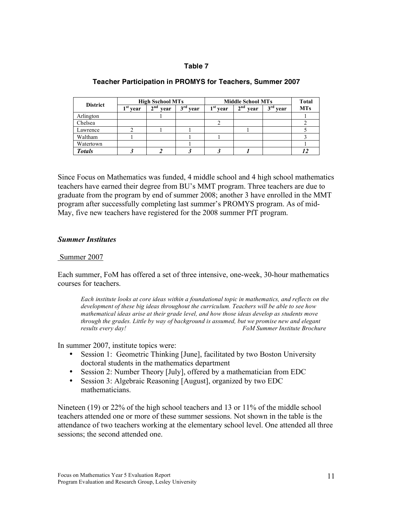#### **Table 7**

| <b>District</b> |              | <b>High Sschool MTs</b> |                         | <b>Middle School MTs</b> | <b>Total</b>            |            |            |
|-----------------|--------------|-------------------------|-------------------------|--------------------------|-------------------------|------------|------------|
|                 | 1 st<br>vear | 2 <sup>nd</sup><br>vear | $2^{\text{rd}}$<br>vear | $1st$ year               | 2 <sup>nd</sup><br>vear | $3rd$ year | <b>MTs</b> |
| Arlington       |              |                         |                         |                          |                         |            |            |
| Chelsea         |              |                         |                         |                          |                         |            |            |
| Lawrence        |              |                         |                         |                          |                         |            |            |
| Waltham         |              |                         |                         |                          |                         |            |            |
| Watertown       |              |                         |                         |                          |                         |            |            |
| <b>Totals</b>   |              |                         |                         |                          |                         |            |            |

#### **Teacher Participation in PROMYS for Teachers, Summer 2007**

Since Focus on Mathematics was funded, 4 middle school and 4 high school mathematics teachers have earned their degree from BU's MMT program. Three teachers are due to graduate from the program by end of summer 2008; another 3 have enrolled in the MMT program after successfully completing last summer's PROMYS program. As of mid-May, five new teachers have registered for the 2008 summer PfT program.

#### *Summer Institutes*

#### Summer 2007

Each summer, FoM has offered a set of three intensive, one-week, 30-hour mathematics courses for teachers.

*Each institute looks at core ideas within a foundational topic in mathematics, and reflects on the development of these big ideas throughout the curriculum. Teachers will be able to see how mathematical ideas arise at their grade level, and how those ideas develop as students move through the grades. Little by way of background is assumed, but we promise new and elegant results every day! FoM Summer Institute Brochure*

In summer 2007, institute topics were:

- Session 1: Geometric Thinking [June], facilitated by two Boston University doctoral students in the mathematics department
- Session 2: Number Theory [July], offered by a mathematician from EDC
- Session 3: Algebraic Reasoning [August], organized by two EDC mathematicians.

Nineteen (19) or 22% of the high school teachers and 13 or 11% of the middle school teachers attended one or more of these summer sessions. Not shown in the table is the attendance of two teachers working at the elementary school level. One attended all three sessions; the second attended one.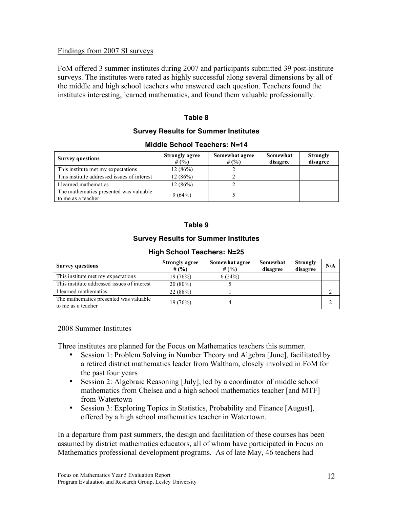## Findings from 2007 SI surveys

FoM offered 3 summer institutes during 2007 and participants submitted 39 post-institute surveys. The institutes were rated as highly successful along several dimensions by all of the middle and high school teachers who answered each question. Teachers found the institutes interesting, learned mathematics, and found them valuable professionally.

## **Table 8**

#### **Survey Results for Summer Institutes**

#### **Middle School Teachers: N=14**

| <b>Survey questions</b>                                      | <b>Strongly agree</b><br># $(%$ | Somewhat agree<br># $(%$ | Somewhat<br>disagree | <b>Strongly</b><br>disagree |
|--------------------------------------------------------------|---------------------------------|--------------------------|----------------------|-----------------------------|
| This institute met my expectations                           | 12(86%)                         |                          |                      |                             |
| This institute addressed issues of interest                  | 12(86%)                         |                          |                      |                             |
| I learned mathematics                                        | 12(86%)                         |                          |                      |                             |
| The mathematics presented was valuable<br>to me as a teacher | 9(64%)                          |                          |                      |                             |

#### **Table 9**

#### **Survey Results for Summer Institutes**

| <b>Survey questions</b>                                      | <b>Strongly agree</b><br># $(%$ ) | Somewhat agree<br># $(%$ ) | Somewhat<br>disagree | <b>Strongly</b><br>disagree | N/A |
|--------------------------------------------------------------|-----------------------------------|----------------------------|----------------------|-----------------------------|-----|
| This institute met my expectations                           | 19(76%)                           | 6(24%)                     |                      |                             |     |
| This institute addressed issues of interest                  | $20(80\%)$                        |                            |                      |                             |     |
| I learned mathematics                                        | 22(88%)                           |                            |                      |                             |     |
| The mathematics presented was valuable<br>to me as a teacher | 19(76%)                           |                            |                      |                             | ◠   |

#### **High School Teachers: N=25**

#### 2008 Summer Institutes

Three institutes are planned for the Focus on Mathematics teachers this summer.

- Session 1: Problem Solving in Number Theory and Algebra [June], facilitated by a retired district mathematics leader from Waltham, closely involved in FoM for the past four years
- Session 2: Algebraic Reasoning [July], led by a coordinator of middle school mathematics from Chelsea and a high school mathematics teacher [and MTF] from Watertown
- Session 3: Exploring Topics in Statistics, Probability and Finance [August], offered by a high school mathematics teacher in Watertown.

In a departure from past summers, the design and facilitation of these courses has been assumed by district mathematics educators, all of whom have participated in Focus on Mathematics professional development programs. As of late May, 46 teachers had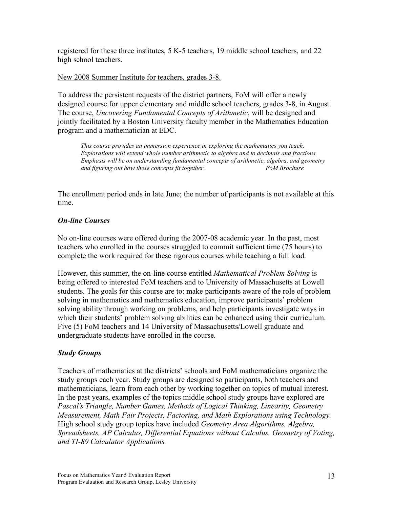registered for these three institutes, 5 K-5 teachers, 19 middle school teachers, and 22 high school teachers.

## New 2008 Summer Institute for teachers, grades 3-8.

To address the persistent requests of the district partners, FoM will offer a newly designed course for upper elementary and middle school teachers, grades 3-8, in August. The course, *Uncovering Fundamental Concepts of Arithmetic*, will be designed and jointly facilitated by a Boston University faculty member in the Mathematics Education program and a mathematician at EDC.

*This course provides an immersion experience in exploring the mathematics you teach. Explorations will extend whole number arithmetic to algebra and to decimals and fractions. Emphasis will be on understanding fundamental concepts of arithmetic, algebra, and geometry and figuring out how these concepts fit together. FoM Brochure*

The enrollment period ends in late June; the number of participants is not available at this time.

## *On-line Courses*

No on-line courses were offered during the 2007-08 academic year. In the past, most teachers who enrolled in the courses struggled to commit sufficient time (75 hours) to complete the work required for these rigorous courses while teaching a full load.

However, this summer, the on-line course entitled *Mathematical Problem Solving* is being offered to interested FoM teachers and to University of Massachusetts at Lowell students. The goals for this course are to: make participants aware of the role of problem solving in mathematics and mathematics education, improve participants' problem solving ability through working on problems, and help participants investigate ways in which their students' problem solving abilities can be enhanced using their curriculum. Five (5) FoM teachers and 14 University of Massachusetts/Lowell graduate and undergraduate students have enrolled in the course.

## *Study Groups*

Teachers of mathematics at the districts' schools and FoM mathematicians organize the study groups each year. Study groups are designed so participants, both teachers and mathematicians, learn from each other by working together on topics of mutual interest. In the past years, examples of the topics middle school study groups have explored are *Pascal's Triangle, Number Games, Methods of Logical Thinking, Linearity, Geometry Measurement, Math Fair Projects, Factoring, and Math Explorations using Technology.* High school study group topics have included *Geometry Area Algorithms, Algebra, Spreadsheets, AP Calculus, Differential Equations without Calculus, Geometry of Voting, and TI-89 Calculator Applications.*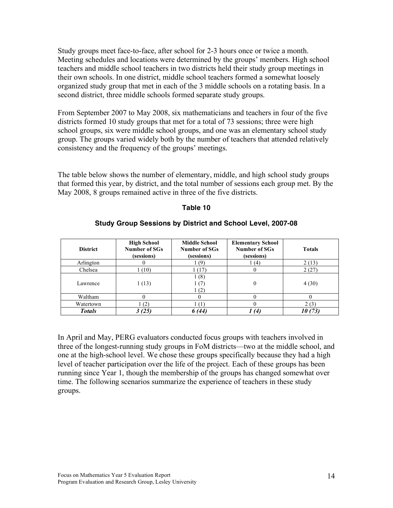Study groups meet face-to-face, after school for 2-3 hours once or twice a month. Meeting schedules and locations were determined by the groups' members. High school teachers and middle school teachers in two districts held their study group meetings in their own schools. In one district, middle school teachers formed a somewhat loosely organized study group that met in each of the 3 middle schools on a rotating basis. In a second district, three middle schools formed separate study groups.

From September 2007 to May 2008, six mathematicians and teachers in four of the five districts formed 10 study groups that met for a total of 73 sessions; three were high school groups, six were middle school groups, and one was an elementary school study group. The groups varied widely both by the number of teachers that attended relatively consistency and the frequency of the groups' meetings.

The table below shows the number of elementary, middle, and high school study groups that formed this year, by district, and the total number of sessions each group met. By the May 2008, 8 groups remained active in three of the five districts.

#### **Table 10**

| <b>District</b> | <b>High School</b><br>Number of SGs<br>(sessions) | <b>Middle School</b><br>Number of SGs<br>(sessions) | <b>Elementary School</b><br>Number of SGs<br>(sessions) | <b>Totals</b> |
|-----------------|---------------------------------------------------|-----------------------------------------------------|---------------------------------------------------------|---------------|
| Arlington       |                                                   | (9)                                                 | 1 (4)                                                   | 2(13)         |
| Chelsea         | 1(10)                                             | 1 (17)                                              | O                                                       | 2(27)         |
| Lawrence        | 1(13)                                             | 1(8)<br>1(7)<br>1(2)                                | 0                                                       | 4(30)         |
| Waltham         | 0                                                 |                                                     |                                                         |               |
| Watertown       | (2)                                               |                                                     |                                                         | 2(3)          |
| <b>Totals</b>   | 3(25)                                             | 6 (44)                                              | 1(4)                                                    | 10(73)        |

#### **Study Group Sessions by District and School Level, 2007-08**

In April and May, PERG evaluators conducted focus groups with teachers involved in three of the longest-running study groups in FoM districts—two at the middle school, and one at the high-school level. We chose these groups specifically because they had a high level of teacher participation over the life of the project. Each of these groups has been running since Year 1, though the membership of the groups has changed somewhat over time. The following scenarios summarize the experience of teachers in these study groups.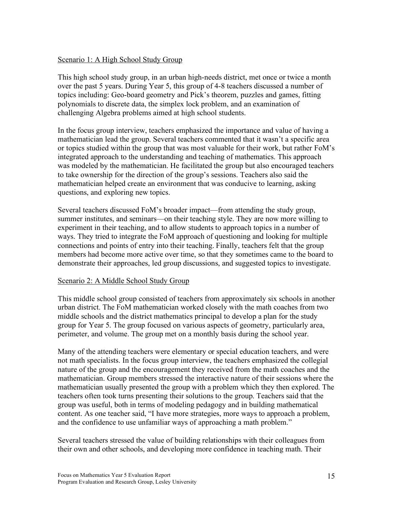## Scenario 1: A High School Study Group

This high school study group, in an urban high-needs district, met once or twice a month over the past 5 years. During Year 5, this group of 4-8 teachers discussed a number of topics including: Geo-board geometry and Pick's theorem, puzzles and games, fitting polynomials to discrete data, the simplex lock problem, and an examination of challenging Algebra problems aimed at high school students.

In the focus group interview, teachers emphasized the importance and value of having a mathematician lead the group. Several teachers commented that it wasn't a specific area or topics studied within the group that was most valuable for their work, but rather FoM's integrated approach to the understanding and teaching of mathematics. This approach was modeled by the mathematician. He facilitated the group but also encouraged teachers to take ownership for the direction of the group's sessions. Teachers also said the mathematician helped create an environment that was conducive to learning, asking questions, and exploring new topics.

Several teachers discussed FoM's broader impact—from attending the study group, summer institutes, and seminars—on their teaching style. They are now more willing to experiment in their teaching, and to allow students to approach topics in a number of ways. They tried to integrate the FoM approach of questioning and looking for multiple connections and points of entry into their teaching. Finally, teachers felt that the group members had become more active over time, so that they sometimes came to the board to demonstrate their approaches, led group discussions, and suggested topics to investigate.

#### Scenario 2: A Middle School Study Group

This middle school group consisted of teachers from approximately six schools in another urban district. The FoM mathematician worked closely with the math coaches from two middle schools and the district mathematics principal to develop a plan for the study group for Year 5. The group focused on various aspects of geometry, particularly area, perimeter, and volume. The group met on a monthly basis during the school year.

Many of the attending teachers were elementary or special education teachers, and were not math specialists. In the focus group interview, the teachers emphasized the collegial nature of the group and the encouragement they received from the math coaches and the mathematician. Group members stressed the interactive nature of their sessions where the mathematician usually presented the group with a problem which they then explored. The teachers often took turns presenting their solutions to the group. Teachers said that the group was useful, both in terms of modeling pedagogy and in building mathematical content. As one teacher said, "I have more strategies, more ways to approach a problem, and the confidence to use unfamiliar ways of approaching a math problem."

Several teachers stressed the value of building relationships with their colleagues from their own and other schools, and developing more confidence in teaching math. Their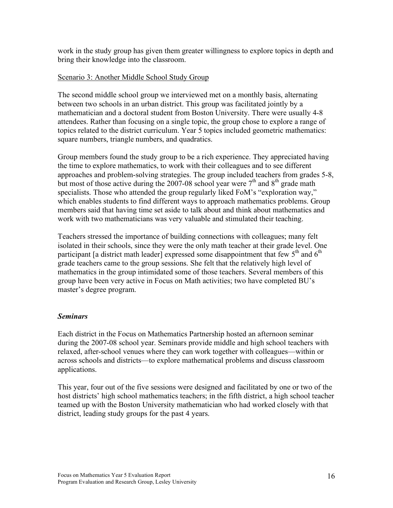work in the study group has given them greater willingness to explore topics in depth and bring their knowledge into the classroom.

## Scenario 3: Another Middle School Study Group

The second middle school group we interviewed met on a monthly basis, alternating between two schools in an urban district. This group was facilitated jointly by a mathematician and a doctoral student from Boston University. There were usually 4-8 attendees. Rather than focusing on a single topic, the group chose to explore a range of topics related to the district curriculum. Year 5 topics included geometric mathematics: square numbers, triangle numbers, and quadratics.

Group members found the study group to be a rich experience. They appreciated having the time to explore mathematics, to work with their colleagues and to see different approaches and problem-solving strategies. The group included teachers from grades 5-8, but most of those active during the 2007-08 school year were  $7<sup>th</sup>$  and  $8<sup>th</sup>$  grade math specialists. Those who attended the group regularly liked FoM's "exploration way," which enables students to find different ways to approach mathematics problems. Group members said that having time set aside to talk about and think about mathematics and work with two mathematicians was very valuable and stimulated their teaching.

Teachers stressed the importance of building connections with colleagues; many felt isolated in their schools, since they were the only math teacher at their grade level. One participant [a district math leader] expressed some disappointment that few  $5<sup>th</sup>$  and  $6<sup>th</sup>$ grade teachers came to the group sessions. She felt that the relatively high level of mathematics in the group intimidated some of those teachers. Several members of this group have been very active in Focus on Math activities; two have completed BU's master's degree program.

## *Seminars*

Each district in the Focus on Mathematics Partnership hosted an afternoon seminar during the 2007-08 school year. Seminars provide middle and high school teachers with relaxed, after-school venues where they can work together with colleagues—within or across schools and districts—to explore mathematical problems and discuss classroom applications.

This year, four out of the five sessions were designed and facilitated by one or two of the host districts' high school mathematics teachers; in the fifth district, a high school teacher teamed up with the Boston University mathematician who had worked closely with that district, leading study groups for the past 4 years.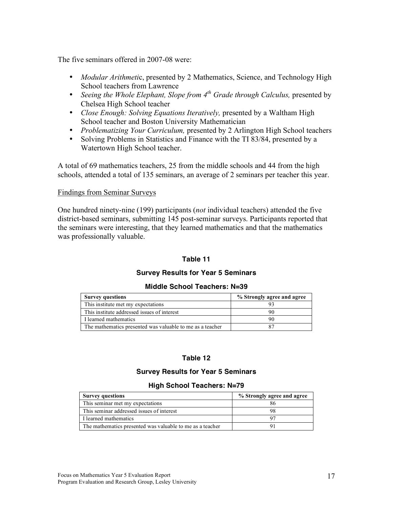The five seminars offered in 2007-08 were:

- *Modular Arithmeti*c, presented by 2 Mathematics, Science, and Technology High School teachers from Lawrence
- *Seeing the Whole Elephant, Slope from 4th Grade through Calculus,* presented by Chelsea High School teacher
- *Close Enough: Solving Equations Iteratively,* presented by a Waltham High School teacher and Boston University Mathematician
- *Problematizing Your Curriculum,* presented by 2 Arlington High School teachers
- Solving Problems in Statistics and Finance with the TI 83/84, presented by a Watertown High School teacher.

A total of 69 mathematics teachers, 25 from the middle schools and 44 from the high schools, attended a total of 135 seminars, an average of 2 seminars per teacher this year.

#### Findings from Seminar Surveys

One hundred ninety-nine (199) participants (*not* individual teachers) attended the five district-based seminars, submitting 145 post-seminar surveys. Participants reported that the seminars were interesting, that they learned mathematics and that the mathematics was professionally valuable.

#### **Table 11**

#### **Survey Results for Year 5 Seminars**

#### **Middle School Teachers: N=39**

| <b>Survey questions</b>                                   | % Strongly agree and agree |
|-----------------------------------------------------------|----------------------------|
| This institute met my expectations                        |                            |
| This institute addressed issues of interest               |                            |
| I learned mathematics                                     |                            |
| The mathematics presented was valuable to me as a teacher |                            |

#### **Table 12**

#### **Survey Results for Year 5 Seminars**

#### **High School Teachers: N=79**

| <b>Survey questions</b>                                   | % Strongly agree and agree |
|-----------------------------------------------------------|----------------------------|
| This seminar met my expectations                          |                            |
| This seminar addressed issues of interest                 | 98                         |
| I learned mathematics                                     |                            |
| The mathematics presented was valuable to me as a teacher |                            |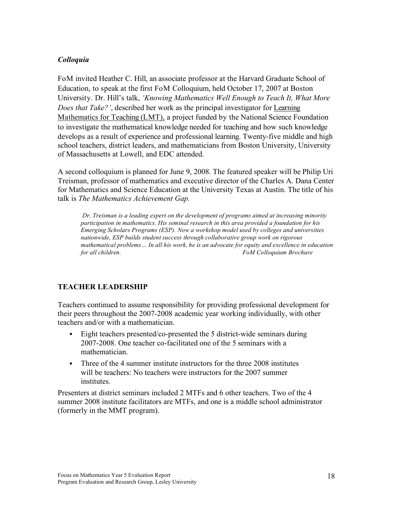## *Colloquia*

FoM invited Heather C. Hill, an associate professor at the Harvard Graduate School of Education, to speak at the first FoM Colloquium, held October 17, 2007 at Boston University. Dr. Hill's talk, *'Knowing Mathematics Well Enough to Teach It, What More Does that Take?'*, described her work as the principal investigator for Learning Mathematics for Teaching (LMT), a project funded by the National Science Foundation to investigate the mathematical knowledge needed for teaching and how such knowledge develops as a result of experience and professional learning. Twenty-five middle and high school teachers, district leaders, and mathematicians from Boston University, University of Massachusetts at Lowell, and EDC attended.

A second colloquium is planned for June 9, 2008. The featured speaker will be Philip Uri Treisman, professor of mathematics and executive director of the Charles A. Dana Center for Mathematics and Science Education at the University Texas at Austin. The title of his talk is *The Mathematics Achievement Gap.*

*Dr. Treisman is a leading expert on the development of programs aimed at increasing minority participation in mathematics. His seminal research in this area provided a foundation for his Emerging Scholars Programs (ESP). Now a workshop model used by colleges and universities nationwide, ESP builds student success through collaborative group work on rigorous mathematical problems… In all his work, he is an advocate for equity and excellence in education for all children. FoM Colloquium Brochure*

## **TEACHER LEADERSHIP**

Teachers continued to assume responsibility for providing professional development for their peers throughout the 2007-2008 academic year working individually, with other teachers and/or with a mathematician.

- Eight teachers presented/co-presented the 5 district-wide seminars during 2007-2008. One teacher co-facilitated one of the 5 seminars with a mathematician.
- Three of the 4 summer institute instructors for the three 2008 institutes will be teachers: No teachers were instructors for the 2007 summer *institutes*

Presenters at district seminars included 2 MTFs and 6 other teachers. Two of the 4 summer 2008 institute facilitators are MTFs, and one is a middle school administrator (formerly in the MMT program).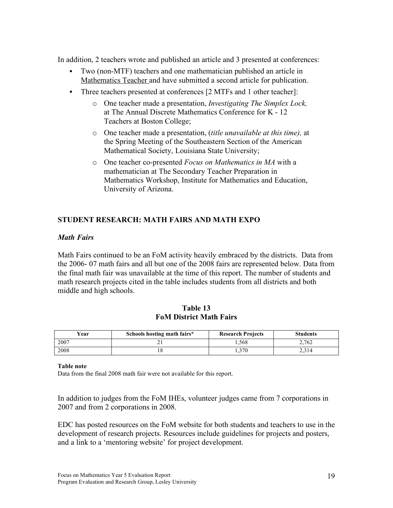In addition, 2 teachers wrote and published an article and 3 presented at conferences:

- Two (non-MTF) teachers and one mathematician published an article in Mathematics Teacher and have submitted a second article for publication.
- Three teachers presented at conferences [2 MTFs and 1 other teacher]:
	- o One teacher made a presentation, *Investigating The Simplex Lock,* at The Annual Discrete Mathematics Conference for K - 12 Teachers at Boston College;
	- o One teacher made a presentation, (*title unavailable at this time),* at the Spring Meeting of the Southeastern Section of the American Mathematical Society, Louisiana State University;
	- o One teacher co-presented *Focus on Mathematics in MA* with a mathematician at The Secondary Teacher Preparation in Mathematics Workshop, Institute for Mathematics and Education, University of Arizona.

## **STUDENT RESEARCH: MATH FAIRS AND MATH EXPO**

## *Math Fairs*

Math Fairs continued to be an FoM activity heavily embraced by the districts. Data from the 2006- 07 math fairs and all but one of the 2008 fairs are represented below. Data from the final math fair was unavailable at the time of this report. The number of students and math research projects cited in the table includes students from all districts and both middle and high schools.

| Table 13                       |  |  |  |  |
|--------------------------------|--|--|--|--|
| <b>FoM District Math Fairs</b> |  |  |  |  |

| Vear | Schools hosting math fairs* | <b>Research Projects</b> | <b>Students</b> |
|------|-----------------------------|--------------------------|-----------------|
| 2007 |                             | . . 568                  | 2.762           |
| 2008 | . O                         | 1.370                    |                 |

#### **Table note**

Data from the final 2008 math fair were not available for this report.

In addition to judges from the FoM IHEs, volunteer judges came from 7 corporations in 2007 and from 2 corporations in 2008.

EDC has posted resources on the FoM website for both students and teachers to use in the development of research projects. Resources include guidelines for projects and posters, and a link to a 'mentoring website' for project development.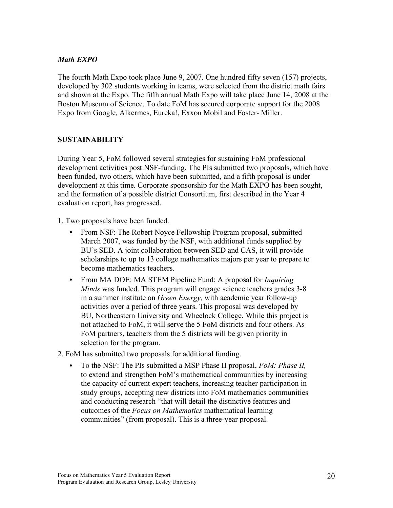## *Math EXPO*

The fourth Math Expo took place June 9, 2007. One hundred fifty seven (157) projects, developed by 302 students working in teams, were selected from the district math fairs and shown at the Expo. The fifth annual Math Expo will take place June 14, 2008 at the Boston Museum of Science. To date FoM has secured corporate support for the 2008 Expo from Google, Alkermes, Eureka!, Exxon Mobil and Foster- Miller.

## **SUSTAINABILITY**

During Year 5, FoM followed several strategies for sustaining FoM professional development activities post NSF-funding. The PIs submitted two proposals, which have been funded, two others, which have been submitted, and a fifth proposal is under development at this time. Corporate sponsorship for the Math EXPO has been sought, and the formation of a possible district Consortium, first described in the Year 4 evaluation report, has progressed.

1. Two proposals have been funded.

- From NSF: The Robert Noyce Fellowship Program proposal, submitted March 2007, was funded by the NSF, with additional funds supplied by BU's SED. A joint collaboration between SED and CAS, it will provide scholarships to up to 13 college mathematics majors per year to prepare to become mathematics teachers.
- From MA DOE: MA STEM Pipeline Fund: A proposal for *Inquiring Minds* was funded. This program will engage science teachers grades 3-8 in a summer institute on *Green Energy,* with academic year follow-up activities over a period of three years. This proposal was developed by BU, Northeastern University and Wheelock College. While this project is not attached to FoM, it will serve the 5 FoM districts and four others. As FoM partners, teachers from the 5 districts will be given priority in selection for the program.
- 2. FoM has submitted two proposals for additional funding.
	- To the NSF: The PIs submitted a MSP Phase II proposal, *FoM: Phase II,* to extend and strengthen FoM's mathematical communities by increasing the capacity of current expert teachers, increasing teacher participation in study groups, accepting new districts into FoM mathematics communities and conducting research "that will detail the distinctive features and outcomes of the *Focus on Mathematics* mathematical learning communities" (from proposal). This is a three-year proposal.